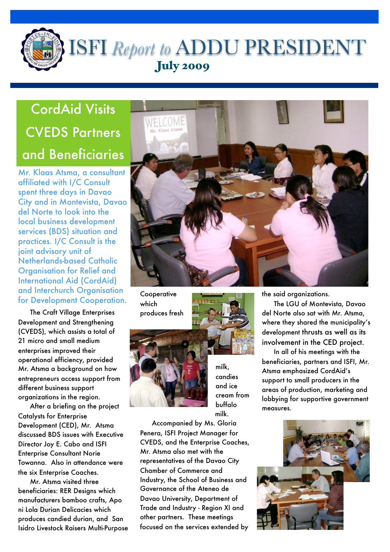

 $\overline{a}$ 

# ISFI *Report to* ADDU PRESIDENT July 2009

# CordAid Visits CVEDS Partners and Beneficiaries

Mr. Klaas Atsma, a consultant affiliated with I/C Consult spent three days in Davao City and in Montevista, Davao del Norte to look into the local business development services (BDS) situation and practices. I/C Consult is the joint advisory unit of Netherlands-based Catholic Organisation for Relief and International Aid (CordAid) and Interchurch Organisation for Development Cooperation.

The Craft Village Enterprises Development and Strengthening (CVEDS), which assists a total of 21 micro and small medium enterprises improved their operational efficiency, provided Mr. Atsma a background on how entrepreneurs access support from different business support organizations in the region.

After a briefing on the project Catalysts for Enterprise Development (CED), Mr. Atsma discussed BDS issues with Executive Director Joy E. Cabo and ISFI Enterprise Consultant Norie Towanna. Also in attendance were the six Enterprise Coaches.

Mr. Atsma visited three beneficiaries: RER Designs which manufacturers bamboo crafts, Apo ni Lola Durian Delicacies which produces candied durian, and San Isidro Livestock Raisers Multi-Purpose



**Cooperative** which produces fresh



milk, candies and ice cream from buffalo milk.

Accompanied by Ms. Gloria Penera, ISFI Project Manager for CVEDS, and the Enterprise Coaches, Mr. Atsma also met with the representatives of the Davao City Chamber of Commerce and Industry, the School of Business and Governance of the Ateneo de Davao University, Department of Trade and Industry - Region XI and other partners. These meetings focused on the services extended by

the said organizations.

The LGU of Montevista, Davao del Norte also sat with Mr. Atsma, where they shared the municipality's development thrusts as well as its involvement in the CED project.

In all of his meetings with the beneficiaries, partners and ISFI, Mr. Atsma emphasized CordAid's support to small producers in the areas of production, marketing and lobbying for supportive government measures.